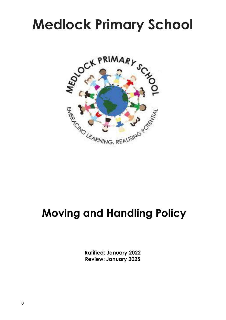# **Medlock Primary School**



# **Moving and Handling Policy**

**Ratified: January 2022 Review: January 2025**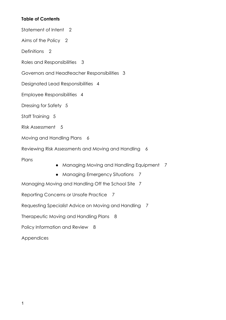# **Table of Contents**

Statement of Intent 2

Aims of the Policy 2

Definitions 2

Roles and Responsibilities 3

Governors and Headteacher Responsibilities 3

Designated Lead Responsibilities 4

Employee Responsibilities 4

Dressing for Safety 5

Staff Training 5

Risk Assessment 5

Moving and Handling Plans 6

Reviewing Risk Assessments and Moving and Handling 6

Plans

- Managing Moving and Handling Equipment 7
- Managing Emergency Situations 7

Managing Moving and Handling Off the School Site 7

Reporting Concerns or Unsafe Practice 7

Requesting Specialist Advice on Moving and Handling 7

Therapeutic Moving and Handling Plans 8

Policy Information and Review 8

Appendices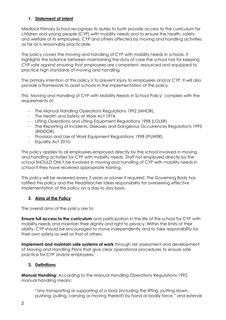# **1. Statement of Intent**

Medlock Primary School recognises its duties to both provide access to the curriculum for children and young people (CYP) with mobility needs and to ensure the health, safety and welfare of its employees, CYP and others affected by moving and handling activities as far as is reasonably practicable.

The policy covers the moving and handling of CYP with mobility needs in schools. It highlights the balance between maintaining the duty of care the school has for keeping CYP safe against ensuring that employees are competent, resourced and equipped to practice high standards of moving and handling*.*

The primary intention of this policy is to prevent injury to employees and/or CYP. It will also provide a framework to assist schools in the implementation of the policy.

This 'Moving and Handling of CYP with Mobility Needs in School Policy' complies with the requirements of:

- The Manual Handling Operations Regulations 1992 (MHOR),
- The Health and Safety at Work Act 1974,
- Lifting Operations and Lifting Equipment Regulations 1998 (LOLER)
- The Reporting of Incidents, Diseases and Dangerous Occurrences Regulations 1995 (RIDDOR),
- Provision and Use of Work Equipment Regulations 1998 (PUWER).
- Equality Act 2010.

This policy applies to all employees employed directly by the school involved in moving and handling activities for CYP with mobility needs. Staff not employed directly by the school SHOULD ONLY be involved in moving and handling of CYP with mobility needs in school if they have received appropriate training.

This policy will be reviewed every 3 years or sooner if required. The Governing Body has ratified this policy and the Headteacher takes responsibility for overseeing effective implementation of this policy on a day to day basis.

# **2. Aims of the Policy**

The overall aims of the policy are to:

**Ensure full access to the curriculum** and participation in the life of the school for CYP with mobility needs and maintain their dignity and right to privacy. Within the limits of their ability, CYP should be encouraged to move independently and to take responsibility for their own safety as well as that of others.

**Implement and maintain safe systems of work** through risk assessment and development of Moving and Handling Plans that give clear operational procedures to ensure safe practice for CYP and/or employees.

#### **3. Definitions**

**Manual Handling:** According to the Manual Handling Operations Regulations 1992, manual handling means:

*"*any transporting or supporting of a load (including the lifting, putting down, pushing, pulling, carrying or moving thereof) by hand or bodily force,*"* and extends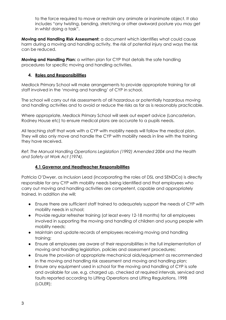to the force required to move or restrain any animate or inanimate object. It also includes "any twisting, bending, stretching or other awkward posture you may get in whilst doing a task".

**Moving and Handling Risk Assessment:** a document which identifies what could cause harm during a moving and handling activity, the risk of potential injury and ways the risk can be reduced.

**Moving and Handling Plan:** a written plan for CYP that details the safe handling procedures for specific moving and handling activities.

#### **4. Roles and Responsibilities**

Medlock Primary School will make arrangements to provide appropriate training for all staff involved in the 'moving and handling' of CYP in school.

The school will carry out risk assessments of all hazardous or potentially hazardous moving and handling activities and to avoid or reduce the risks as far as is reasonably practicable.

Where appropriate, Medlock Primary School will seek out expert advice (Lancasterian, Rodney House etc) to ensure medical plans are accurate to a pupils needs.

All teaching staff that work with a CYP with mobility needs will follow the medical plan. They will also only move and handle the CYP with mobility needs in line with the training they have received.

*Ref: The Manual Handling Operations Legislation (1992) Amended 2004 and the Health and Safety at Work Act (1974).*

# **4.1 Governor and Headteacher Responsibilities**

Patricia O'Dwyer, as Inclusion Lead (incorporating the roles of DSL and SENDCo) is directly responsible for any CYP with mobility needs being identified and that employees who carry out moving and handling activities are competent, capable and appropriately trained. In addition she will;

- Ensure there are sufficient staff trained to adequately support the needs of CYP with mobility needs in school;
- Provide regular refresher training (at least every 12-18 months) for all employees involved in supporting the moving and handling of children and young people with mobility needs;
- Maintain and update records of employees receiving moving and handling training;
- Ensure all employees are aware of their responsibilities in the full implementation of moving and handling legislation, policies and assessment procedures;
- Ensure the provision of appropriate mechanical aids/equipment as recommended in the moving and handling risk assessment and moving and handling plan;
- Ensure any equipment used in school for the moving and handling of CYP is safe and available for use, e.g. charged up, checked at required intervals, serviced and faults reported according to Lifting Operations and Lifting Regulations, 1998 (LOLER);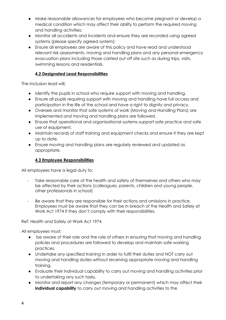- Make reasonable allowances for employees who become pregnant or develop a medical condition which may affect their ability to perform the required moving and handling activities;
- Monitor all accidents and incidents and ensure they are recorded using agreed systems (please specify agreed system);
- Ensure all employees are aware of this policy and have read and understood relevant risk assessments, moving and handling plans and any personal emergency evacuation plans including those carried out off site such as during trips, visits, swimming lessons and residentials.

# **4.2 Designated Lead Responsibilities**

The Inclusion lead will;

- Identify the pupils in school who require support with moving and handling.
- Ensure all pupils requiring support with moving and handling have full access and participation in the life of the school and have a right to dignity and privacy.
- Oversee and monitor that safe systems of work (Moving and Handling Plans) are implemented and moving and handling plans are followed.
- Ensure that operational and organisational systems support safe practice and safe use of equipment.
- Maintain records of staff training and equipment checks and ensure it they are kept up to date.
- Ensure moving and handling plans are regularly reviewed and updated as appropriate.

# **4.3 Employee Responsibilities**

All employees have a legal duty to:

- Take reasonable care of the health and safety of themselves and others who may be affected by their actions (colleagues, parents, children and young people, other professionals in school)
- Be aware that they are responsible for their actions and omissions in practice. Employees must be aware that they can be in breach of the Health and Safely at Work Act 1974 if they don't comply with their responsibilities.

Ref: Health and Safely at Work Act 1974

All employees must;

- be aware of their role and the role of others in ensuring that moving and handling policies and procedures are followed to develop and maintain safe working practices.
- Undertake any specified training in order to fulfil their duties and NOT carry out moving and handling duties without receiving appropriate moving and handling training.
- Evaluate their individual capability to carry out moving and handling activities prior to undertaking any such tasks.
- Monitor and report any changes (temporary or permanent) which may affect their **individual capability** to carry out moving and handling activities to the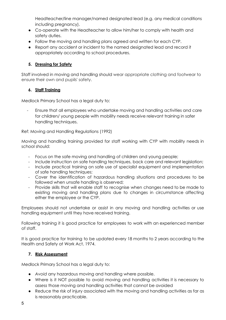Headteacher/line manager/named designated lead (e.g. any medical conditions including pregnancy).

- Co-operate with the Headteacher to allow him/her to comply with health and safety duties.
- Follow the moving and handling plans agreed and written for each CYP.
- Report any accident or incident to the named designated lead and record it appropriately according to school procedures.

# **5. Dressing for Safety**

Staff involved in moving and handling should wear appropriate clothing and footwear to ensure their own and pupils' safety.

# **6. Staff Training**

Medlock Primary School has a legal duty to:

- Ensure that all employees who undertake moving and handling activities and care for children/ young people with mobility needs receive relevant training in safer handling techniques.

Ref: Moving and Handling Regulations (1992)

Moving and handling training provided for staff working with CYP with mobility needs in school should:

- Focus on the safe moving and handling of children and young people;
- Include instruction on safe handling techniques, back care and relevant legislation;
- Include practical training on safe use of specialist equipment and implementation of safe handling techniques;
- Cover the identification of hazardous handling situations and procedures to be followed when unsafe handling is observed;
- Provide skills that will enable staff to recognise when changes need to be made to existing moving and handling plans due to changes in circumstance affecting either the employee or the CYP.

Employees should not undertake or assist in any moving and handling activities or use handling equipment until they have received training.

Following training it is good practice for employees to work with an experienced member of staff.

It is good practice for training to be updated every 18 months to 2 years according to the Health and Safety at Work Act, 1974.

# **7. Risk Assessment**

Medlock Primary School has a legal duty to:

- *Avoid* any hazardous moving and handling where possible.
- Where is it NOT possible to avoid moving and handling activities it is necessary to a*ssess* those moving and handling activities that cannot be avoided
- Reduce the risk of injury associated with the moving and handling activities as far as is reasonably practicable.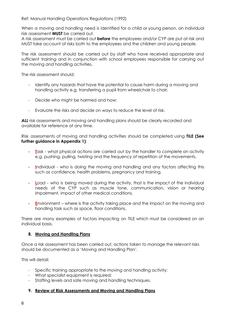Ref: Manual Handling Operations Regulations (1992)

When a moving and handling need is identified for a child or young person, an individual risk assessment **MUST** be carried out.

A risk assessment must be carried out **before** the employees and/or CYP are put at risk and MUST take account of risks both to the employees and the children and young people.

The risk assessment should be carried out by staff who have received appropriate and sufficient training and in conjunction with school employees responsible for carrying out the moving and handling activities.

The risk assessment should:

- Identify any hazards that have the potential to cause harm during a moving and handling activity e.g. transferring a pupil from wheelchair to chair;
- Decide who might be harmed and how;
- Evaluate the risks and decide on ways to reduce the level of risk.

**ALL** risk assessments and moving and handling plans should be clearly recorded and available for reference at any time.

Risk assessments of moving and handling activities should be completed using **TILE (See further guidance in Appendix 1)**:

- **T**ask what physical actions are carried out by the handler to complete an activity e.g. pushing, pulling, twisting and the frequency of repetition of the movements.
- **I**ndividual who is doing the moving and handling and any factors affecting this such as confidence, health problems, pregnancy and training.
- **Load** who is being moved during the activity, that is the impact of the individual needs of the CYP such as muscle tone, communication, vision or hearing impairment, impact of other medical conditions.
- **E**nvironment where is the activity taking place and the impact on the moving and handling task such as space, floor conditions.

There are many examples of factors impacting on TILE which must be considered on an individual basis.

#### **8. Moving and Handling Plans**

Once a risk assessment has been carried out, actions taken to manage the relevant risks should be documented as a 'Moving and Handling Plan'.

This will detail;

- Specific training appropriate to the moving and handling activity;
- What specialist equipment is required;
- Staffing levels and safe moving and handling techniques.

#### **9. Review of Risk Assessments and Moving and Handling Plans**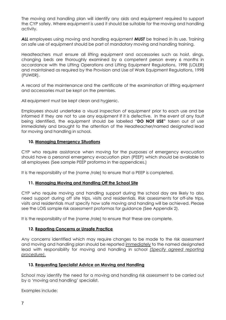The moving and handling plan will identify any aids and equipment required to support the CYP safely. Where equipment is used it should be suitable for the moving and handling activity.

*ALL* employees using moving and handling equipment *MUST* be trained in its use. Training on safe use of equipment should be part of mandatory moving and handling training.

Headteachers must ensure all lifting equipment and accessories such as hoist, slings, changing beds are thoroughly examined by a competent person every 6 months in accordance with the Lifting Operations and Lifting Equipment Regulations, 1998 (LOLER) and maintained as required by the Provision and Use of Work Equipment Regulations, 1998 (PUWER).

A record of the maintenance and the certificate of the examination of lifting equipment and accessories must be kept on the premises.

All equipment must be kept clean and hygienic.

Employees should undertake a visual inspection of equipment prior to each use and be informed if they are not to use any equipment if it is defective. In the event of any fault being identified, the equipment should be labelled "**DO NOT USE"** taken out of use immediately and brought to the attention of the Headteacher/named designated lead for moving and handling in school.

#### **10. Managing Emergency Situations**

CYP who require assistance when moving for the purposes of emergency evacuation should have a personal emergency evacuation plan (PEEP) which should be available to all employees (See sample PEEP proforma in the appendices.)

It is the responsibility of the (name /role) to ensure that a PEEP is completed.

#### **11. Managing Moving and Handling Off the School Site**

CYP who require moving and handling support during the school day are likely to also need support during off site trips, visits and residentials. Risk assessments for off-site trips, visits and residentials must specify how safe moving and handing will be achieved. Please see the LOIS sample risk assessment proformas for guidance (See Appendix 2).

It is the responsibility of the (name /role) to ensure that these are complete.

#### **12. Reporting Concerns or Unsafe Practice**

Any concerns identified which may require changes to be made to the risk assessment and moving and handling plan should be reported immediately to the named designated lead with responsibility for moving and handling in school *(Specify agreed reporting procedure).*

#### **13. Requesting Specialist Advice on Moving and Handling**

School may identify the need for a moving and handling risk assessment to be carried out by a 'moving and handling' specialist.

Examples include: